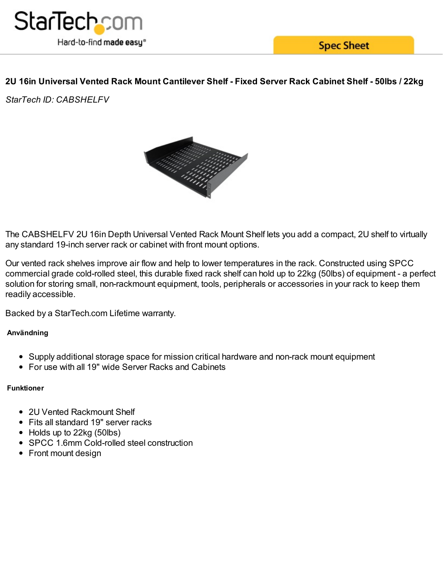

**Spec Sheet** 

# 2U 16in Universal Vented Rack Mount Cantilever Shelf - Fixed Server Rack Cabinet Shelf - 50lbs / 22kg

*StarTech ID: CABSHELFV*



The CABSHELFV 2U 16in Depth Universal Vented Rack Mount Shelf lets you add a compact, 2U shelf to virtually any standard 19-inch server rack or cabinet with front mount options.

Our vented rack shelves improve air flow and help to lower temperatures in the rack. Constructed using SPCC commercial grade cold-rolled steel, this durable fixed rack shelf can hold up to 22kg (50lbs) of equipment - a perfect solution for storing small, non-rackmount equipment, tools, peripherals or accessories in your rack to keep them readily accessible.

Backed by a StarTech.com Lifetime warranty.

## **Användning**

- Supply additional storage space for mission critical hardware and non-rack mount equipment
- For use with all 19" wide Server Racks and Cabinets

## **Funktioner**

- 2U Vented Rackmount Shelf
- Fits all standard 19" server racks
- Holds up to 22kg (50lbs)
- SPCC 1.6mm Cold-rolled steel construction
- Front mount design